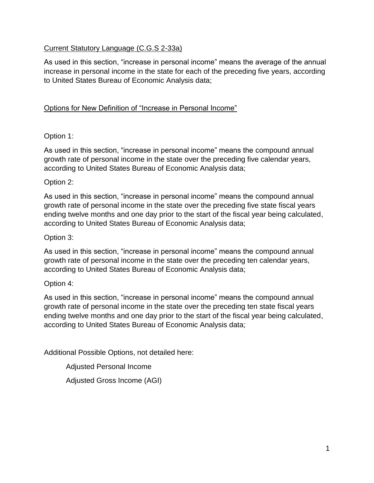# Current Statutory Language (C.G.S 2-33a)

As used in this section, "increase in personal income" means the average of the annual increase in personal income in the state for each of the preceding five years, according to United States Bureau of Economic Analysis data;

# Options for New Definition of "Increase in Personal Income"

# Option 1:

As used in this section, "increase in personal income" means the compound annual growth rate of personal income in the state over the preceding five calendar years, according to United States Bureau of Economic Analysis data;

### Option 2:

As used in this section, "increase in personal income" means the compound annual growth rate of personal income in the state over the preceding five state fiscal years ending twelve months and one day prior to the start of the fiscal year being calculated, according to United States Bureau of Economic Analysis data;

# Option 3:

As used in this section, "increase in personal income" means the compound annual growth rate of personal income in the state over the preceding ten calendar years, according to United States Bureau of Economic Analysis data;

### Option 4:

As used in this section, "increase in personal income" means the compound annual growth rate of personal income in the state over the preceding ten state fiscal years ending twelve months and one day prior to the start of the fiscal year being calculated, according to United States Bureau of Economic Analysis data;

Additional Possible Options, not detailed here:

Adjusted Personal Income

Adjusted Gross Income (AGI)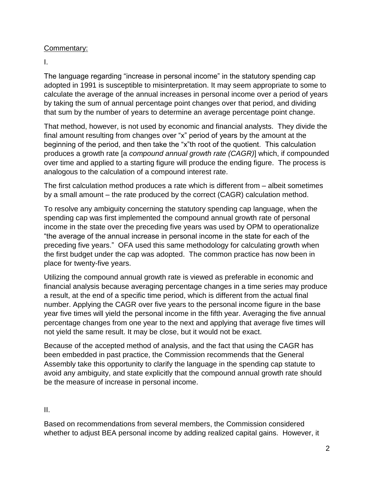### Commentary:

I.

The language regarding "increase in personal income" in the statutory spending cap adopted in 1991 is susceptible to misinterpretation. It may seem appropriate to some to calculate the average of the annual increases in personal income over a period of years by taking the sum of annual percentage point changes over that period, and dividing that sum by the number of years to determine an average percentage point change.

That method, however, is not used by economic and financial analysts. They divide the final amount resulting from changes over "x" period of years by the amount at the beginning of the period, and then take the "x"th root of the quotient. This calculation produces a growth rate [a *compound annual growth rate (CAGR)*] which, if compounded over time and applied to a starting figure will produce the ending figure. The process is analogous to the calculation of a compound interest rate.

The first calculation method produces a rate which is different from – albeit sometimes by a small amount – the rate produced by the correct (CAGR) calculation method.

To resolve any ambiguity concerning the statutory spending cap language, when the spending cap was first implemented the compound annual growth rate of personal income in the state over the preceding five years was used by OPM to operationalize "the average of the annual increase in personal income in the state for each of the preceding five years." OFA used this same methodology for calculating growth when the first budget under the cap was adopted. The common practice has now been in place for twenty-five years.

Utilizing the compound annual growth rate is viewed as preferable in economic and financial analysis because averaging percentage changes in a time series may produce a result, at the end of a specific time period, which is different from the actual final number. Applying the CAGR over five years to the personal income figure in the base year five times will yield the personal income in the fifth year. Averaging the five annual percentage changes from one year to the next and applying that average five times will not yield the same result. It may be close, but it would not be exact.

Because of the accepted method of analysis, and the fact that using the CAGR has been embedded in past practice, the Commission recommends that the General Assembly take this opportunity to clarify the language in the spending cap statute to avoid any ambiguity, and state explicitly that the compound annual growth rate should be the measure of increase in personal income.

II.

Based on recommendations from several members, the Commission considered whether to adjust BEA personal income by adding realized capital gains. However, it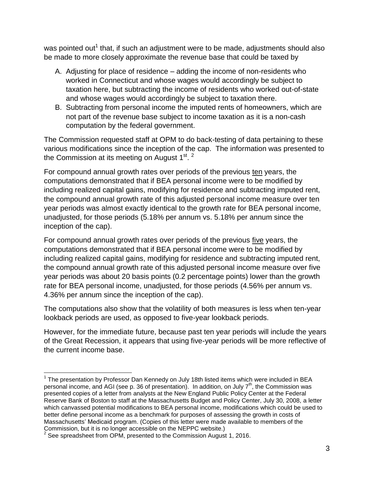was pointed out<sup>1</sup> that, if such an adjustment were to be made, adjustments should also be made to more closely approximate the revenue base that could be taxed by

- A. Adjusting for place of residence adding the income of non-residents who worked in Connecticut and whose wages would accordingly be subject to taxation here, but subtracting the income of residents who worked out-of-state and whose wages would accordingly be subject to taxation there.
- B. Subtracting from personal income the imputed rents of homeowners, which are not part of the revenue base subject to income taxation as it is a non-cash computation by the federal government.

The Commission requested staff at OPM to do back-testing of data pertaining to these various modifications since the inception of the cap. The information was presented to the Commission at its meeting on August 1<sup>st</sup>.<sup>2</sup>

For compound annual growth rates over periods of the previous ten years, the computations demonstrated that if BEA personal income were to be modified by including realized capital gains, modifying for residence and subtracting imputed rent, the compound annual growth rate of this adjusted personal income measure over ten year periods was almost exactly identical to the growth rate for BEA personal income, unadjusted, for those periods (5.18% per annum vs. 5.18% per annum since the inception of the cap).

For compound annual growth rates over periods of the previous five years, the computations demonstrated that if BEA personal income were to be modified by including realized capital gains, modifying for residence and subtracting imputed rent, the compound annual growth rate of this adjusted personal income measure over five year periods was about 20 basis points (0.2 percentage points) lower than the growth rate for BEA personal income, unadjusted, for those periods (4.56% per annum vs. 4.36% per annum since the inception of the cap).

The computations also show that the volatility of both measures is less when ten-year lookback periods are used, as opposed to five-year lookback periods.

However, for the immediate future, because past ten year periods will include the years of the Great Recession, it appears that using five-year periods will be more reflective of the current income base.

 $\overline{a}$ 

<sup>&</sup>lt;sup>1</sup> The presentation by Professor Dan Kennedy on July 18th listed items which were included in BEA personal income, and AGI (see p. 36 of presentation). In addition, on July  $7<sup>th</sup>$ , the Commission was presented copies of a letter from analysts at the New England Public Policy Center at the Federal Reserve Bank of Boston to staff at the Massachusetts Budget and Policy Center, July 30, 2008, a letter which canvassed potential modifications to BEA personal income, modifications which could be used to better define personal income as a benchmark for purposes of assessing the growth in costs of Massachusetts' Medicaid program. (Copies of this letter were made available to members of the Commission, but it is no longer accessible on the NEPPC website.)<br><sup>2</sup> See aproachbent from ODM, presented to the Commission August

See spreadsheet from OPM, presented to the Commission August 1, 2016.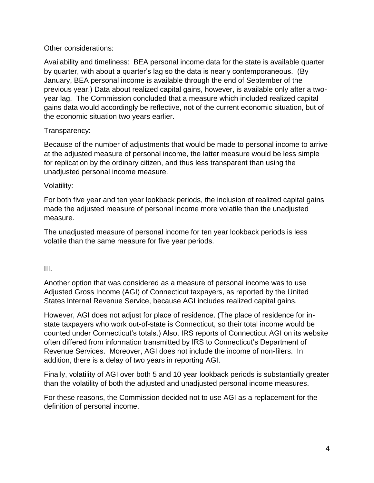### Other considerations:

Availability and timeliness: BEA personal income data for the state is available quarter by quarter, with about a quarter's lag so the data is nearly contemporaneous. (By January, BEA personal income is available through the end of September of the previous year.) Data about realized capital gains, however, is available only after a twoyear lag. The Commission concluded that a measure which included realized capital gains data would accordingly be reflective, not of the current economic situation, but of the economic situation two years earlier.

# Transparency:

Because of the number of adjustments that would be made to personal income to arrive at the adjusted measure of personal income, the latter measure would be less simple for replication by the ordinary citizen, and thus less transparent than using the unadjusted personal income measure.

# Volatility:

For both five year and ten year lookback periods, the inclusion of realized capital gains made the adjusted measure of personal income more volatile than the unadjusted measure.

The unadjusted measure of personal income for ten year lookback periods is less volatile than the same measure for five year periods.

### III.

Another option that was considered as a measure of personal income was to use Adjusted Gross Income (AGI) of Connecticut taxpayers, as reported by the United States Internal Revenue Service, because AGI includes realized capital gains.

However, AGI does not adjust for place of residence. (The place of residence for instate taxpayers who work out-of-state is Connecticut, so their total income would be counted under Connecticut's totals.) Also, IRS reports of Connecticut AGI on its website often differed from information transmitted by IRS to Connecticut's Department of Revenue Services. Moreover, AGI does not include the income of non-filers. In addition, there is a delay of two years in reporting AGI.

Finally, volatility of AGI over both 5 and 10 year lookback periods is substantially greater than the volatility of both the adjusted and unadjusted personal income measures.

For these reasons, the Commission decided not to use AGI as a replacement for the definition of personal income.